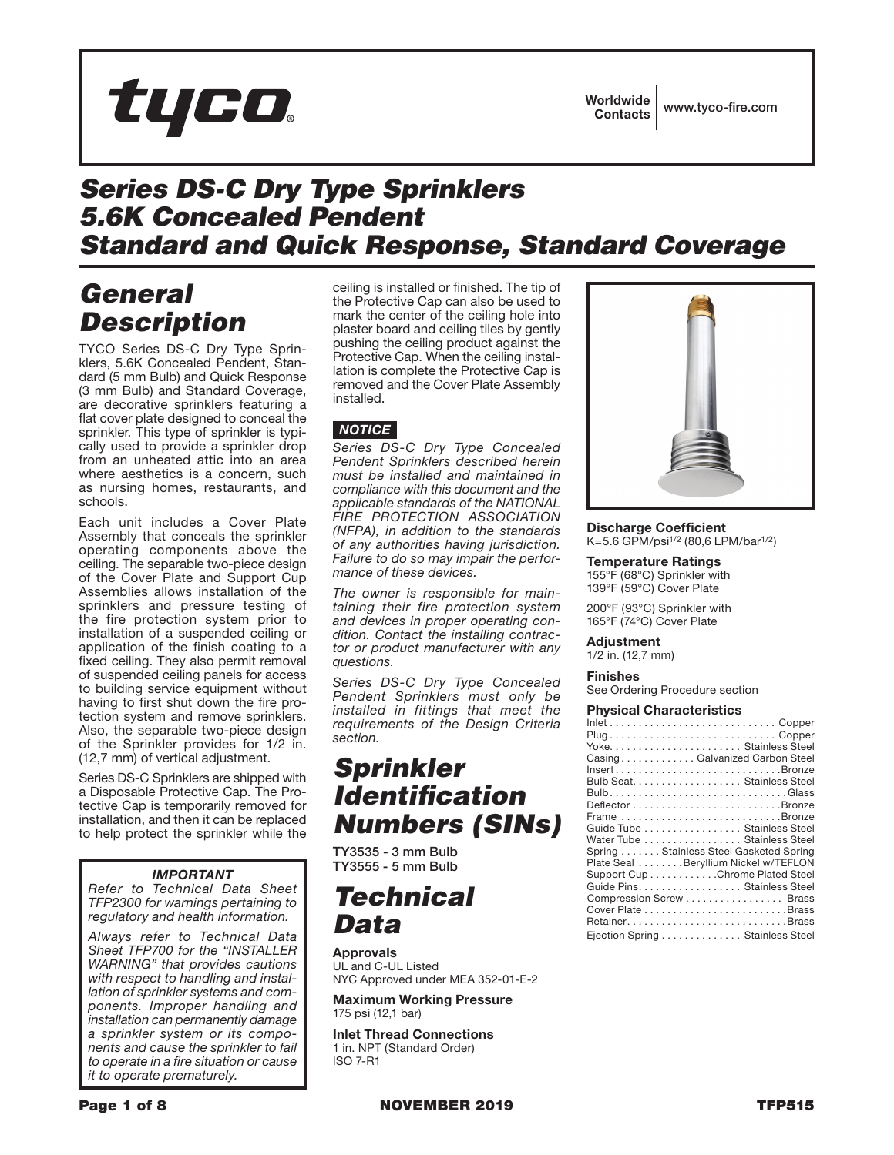# tyco

### *Series DS-C Dry Type Sprinklers 5.6K Concealed Pendent Standard and Quick Response, Standard Coverage*

# *General Description*

TYCO Series DS-C Dry Type Sprinklers, 5.6K Concealed Pendent, Standard (5 mm Bulb) and Quick Response (3 mm Bulb) and Standard Coverage, are decorative sprinklers featuring a flat cover plate designed to conceal the sprinkler. This type of sprinkler is typically used to provide a sprinkler drop from an unheated attic into an area where aesthetics is a concern, such as nursing homes, restaurants, and schools.

Each unit includes a Cover Plate Assembly that conceals the sprinkler operating components above the ceiling. The separable two-piece design of the Cover Plate and Support Cup Assemblies allows installation of the sprinklers and pressure testing of the fire protection system prior to installation of a suspended ceiling or application of the finish coating to a fixed ceiling. They also permit removal of suspended ceiling panels for access to building service equipment without having to first shut down the fire protection system and remove sprinklers. Also, the separable two-piece design of the Sprinkler provides for 1/2 in. (12,7 mm) of vertical adjustment.

Series DS-C Sprinklers are shipped with a Disposable Protective Cap. The Protective Cap is temporarily removed for installation, and then it can be replaced to help protect the sprinkler while the

### *IMPORTANT*

*Refer to Technical Data Sheet TFP2300 for warnings pertaining to regulatory and health information.*

*Always refer to Technical Data Sheet TFP700 for the "INSTALLER WARNING" that provides cautions with respect to handling and installation of sprinkler systems and components. Improper handling and installation can permanently damage a sprinkler system or its components and cause the sprinkler to fail to operate in a fire situation or cause it to operate prematurely.*

ceiling is installed or finished. The tip of the Protective Cap can also be used to mark the center of the ceiling hole into plaster board and ceiling tiles by gently pushing the ceiling product against the Protective Cap. When the ceiling installation is complete the Protective Cap is removed and the Cover Plate Assembly installed.

### *NOTICE*

*Series DS-C Dry Type Concealed Pendent Sprinklers described herein must be installed and maintained in compliance with this document and the applicable standards of the NATIONAL FIRE PROTECTION ASSOCIATION (NFPA), in addition to the standards of any authorities having jurisdiction. Failure to do so may impair the performance of these devices.*

*The owner is responsible for maintaining their fire protection system and devices in proper operating condition. Contact the installing contractor or product manufacturer with any questions.*

*Series DS-C Dry Type Concealed Pendent Sprinklers must only be installed in fittings that meet the requirements of the Design Criteria section.*

# *Sprinkler Identification Numbers (SINs)*

TY3535 - 3 mm Bulb TY3555 - 5 mm Bulb

### *Technical Data*

Approvals UL and C-UL Listed NYC Approved under MEA 352-01-E-2

Maximum Working Pressure 175 psi (12,1 bar)

Inlet Thread Connections 1 in. NPT (Standard Order) ISO 7-R1



Discharge Coefficient K=5.6 GPM/psi1/2 (80,6 LPM/bar1/2)

Temperature Ratings 155°F (68°C) Sprinkler with 139°F (59°C) Cover Plate

200°F (93°C) Sprinkler with 165°F (74°C) Cover Plate

### Adjustment

1/2 in. (12,7 mm)

#### Finishes

See Ordering Procedure section

#### Physical Characteristics

| CasingGalvanized Carbon Steel          |
|----------------------------------------|
| InsertBronze                           |
| Bulb Seat. Stainless Steel             |
|                                        |
|                                        |
| Frame Bronze                           |
| Guide Tube Stainless Steel             |
| Water Tube  Stainless Steel            |
| Spring Stainless Steel Gasketed Spring |
| Plate Seal Beryllium Nickel w/TEFLON   |
| Support Cup Chrome Plated Steel        |
| Guide Pins. Stainless Steel            |
| Compression Screw Brass                |
|                                        |
|                                        |
| Ejection Spring Stainless Steel        |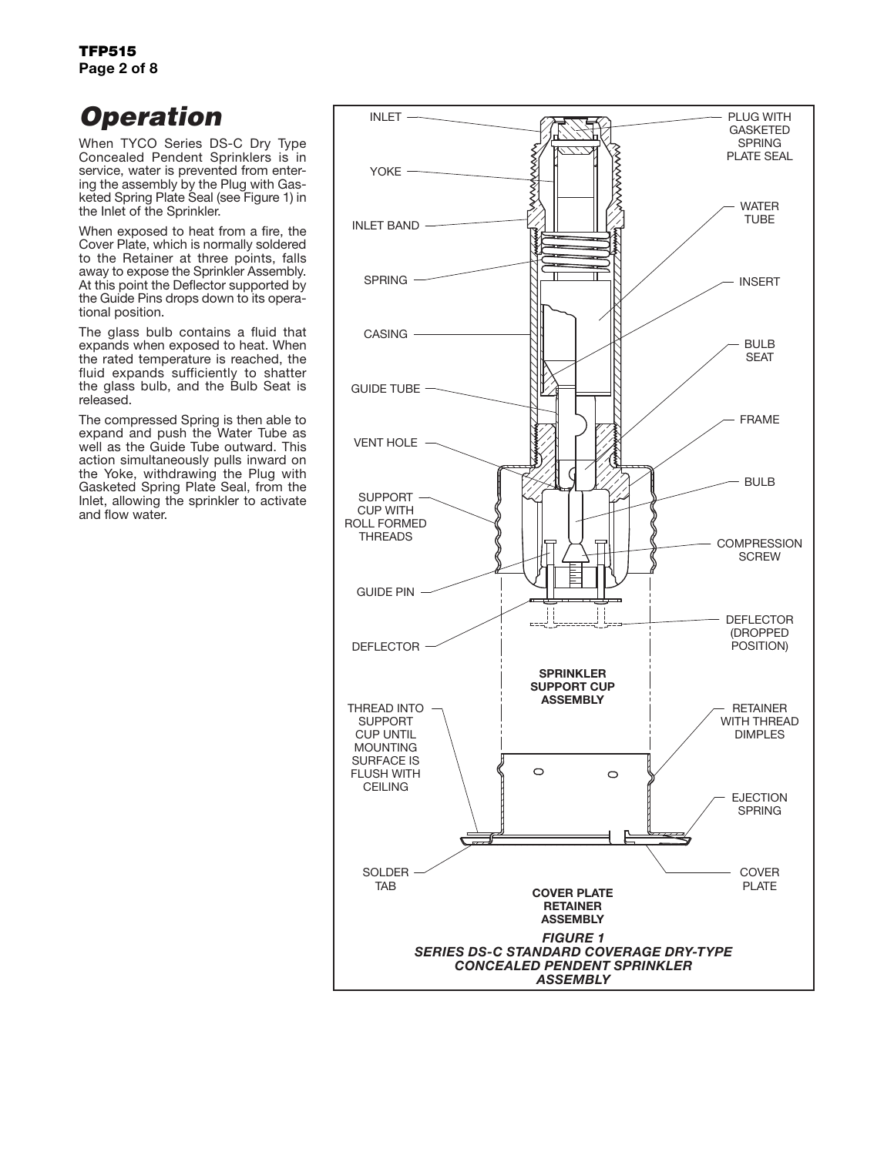# *Operation*

When TYCO Series DS-C Dry Type Concealed Pendent Sprinklers is in service, water is prevented from entering the assembly by the Plug with Gasketed Spring Plate Seal (see Figure 1) in the Inlet of the Sprinkler.

When exposed to heat from a fire, the Cover Plate, which is normally soldered to the Retainer at three points, falls away to expose the Sprinkler Assembly. At this point the Deflector supported by the Guide Pins drops down to its operational position.

The glass bulb contains a fluid that expands when exposed to heat. When the rated temperature is reached, the fluid expands sufficiently to shatter the glass bulb, and the Bulb Seat is released.

The compressed Spring is then able to expand and push the Water Tube as well as the Guide Tube outward. This action simultaneously pulls inward on the Yoke, withdrawing the Plug with Gasketed Spring Plate Seal, from the Inlet, allowing the sprinkler to activate and flow water.

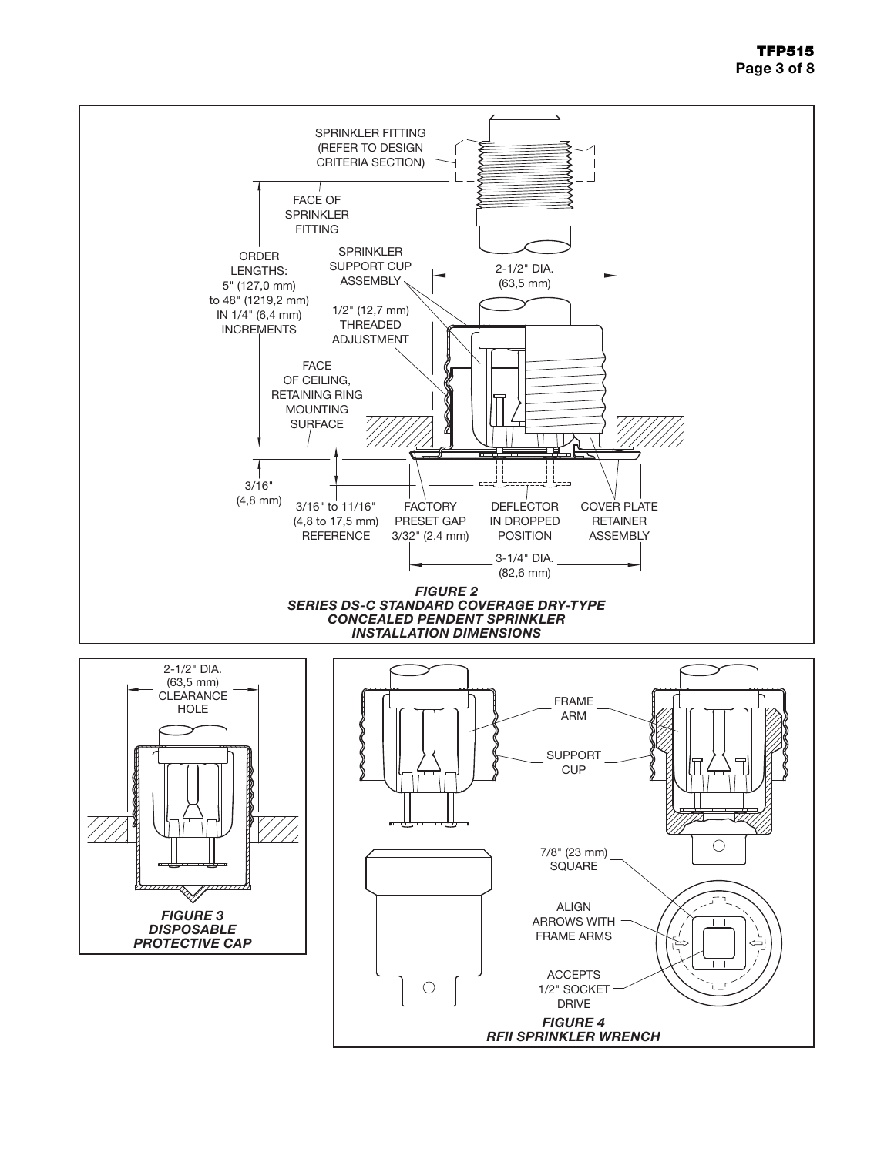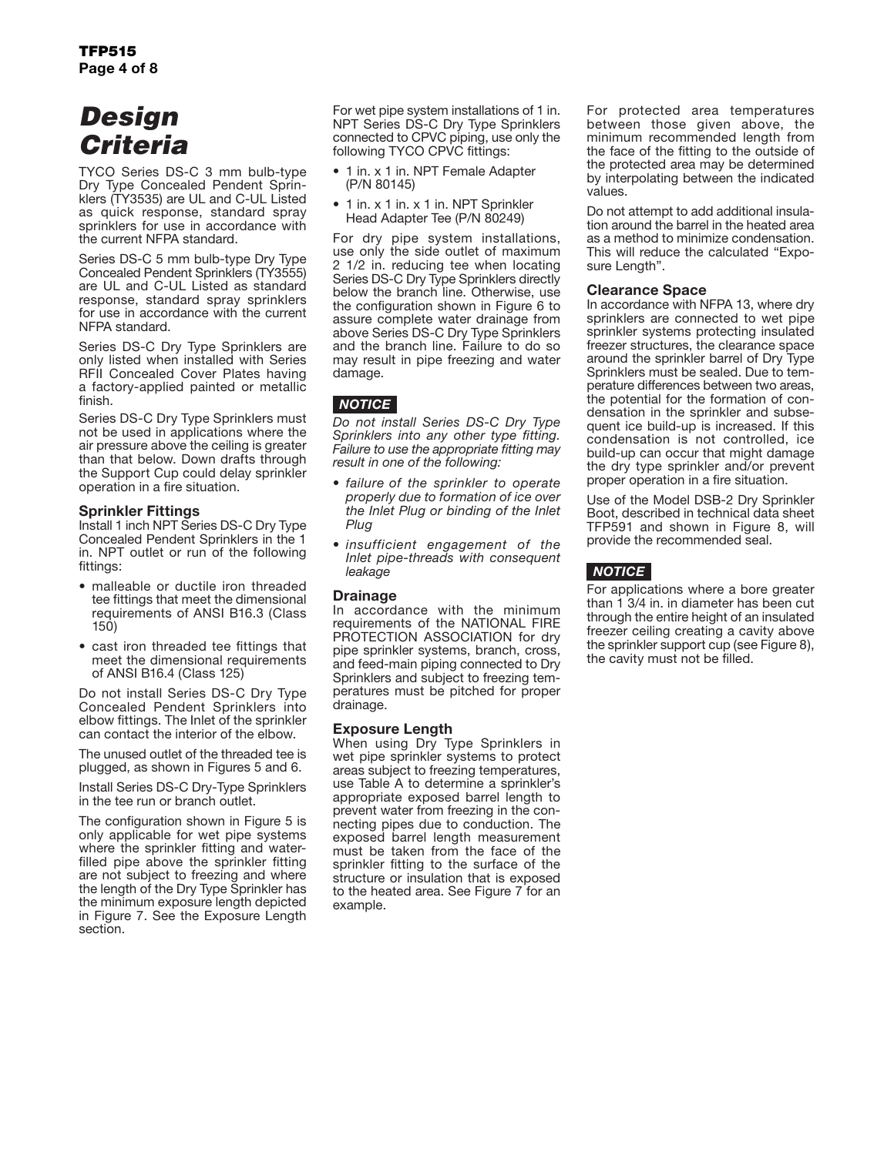# *Design Criteria*

TYCO Series DS-C 3 mm bulb-type Dry Type Concealed Pendent Sprinklers (TY3535) are UL and C-UL Listed as quick response, standard spray sprinklers for use in accordance with the current NFPA standard.

Series DS-C 5 mm bulb-type Dry Type Concealed Pendent Sprinklers (TY3555) are UL and C-UL Listed as standard response, standard spray sprinklers for use in accordance with the current NFPA standard.

Series DS-C Dry Type Sprinklers are only listed when installed with Series RFII Concealed Cover Plates having a factory-applied painted or metallic finish.

Series DS-C Dry Type Sprinklers must not be used in applications where the air pressure above the ceiling is greater than that below. Down drafts through the Support Cup could delay sprinkler operation in a fire situation.

#### Sprinkler Fittings

Install 1 inch NPT Series DS-C Dry Type Concealed Pendent Sprinklers in the 1 in. NPT outlet or run of the following fittings:

- malleable or ductile iron threaded tee fittings that meet the dimensional requirements of ANSI B16.3 (Class 150)
- cast iron threaded tee fittings that meet the dimensional requirements of ANSI B16.4 (Class 125)

Do not install Series DS-C Dry Type Concealed Pendent Sprinklers into elbow fittings. The Inlet of the sprinkler can contact the interior of the elbow.

The unused outlet of the threaded tee is plugged, as shown in Figures 5 and 6.

Install Series DS-C Dry-Type Sprinklers in the tee run or branch outlet.

The configuration shown in Figure 5 is only applicable for wet pipe systems where the sprinkler fitting and waterfilled pipe above the sprinkler fitting are not subject to freezing and where the length of the Dry Type Sprinkler has the minimum exposure length depicted in Figure 7. See the Exposure Length section.

For wet pipe system installations of 1 in. NPT Series DS-C Dry Type Sprinklers connected to CPVC piping, use only the following TYCO CPVC fittings:

- 1 in. x 1 in. NPT Female Adapter (P/N 80145)
- 1 in. x 1 in. x 1 in. NPT Sprinkler Head Adapter Tee (P/N 80249)

For dry pipe system installations, use only the side outlet of maximum 2 1/2 in. reducing tee when locating Series DS-C Dry Type Sprinklers directly below the branch line. Otherwise, use the configuration shown in Figure 6 to assure complete water drainage from above Series DS-C Dry Type Sprinklers and the branch line. Failure to do so may result in pipe freezing and water damage.

### *NOTICE*

*Do not install Series DS-C Dry Type Sprinklers into any other type fitting. Failure to use the appropriate fitting may result in one of the following:*

- *• failure of the sprinkler to operate properly due to formation of ice over the Inlet Plug or binding of the Inlet Plug*
- *• insufficient engagement of the Inlet pipe-threads with consequent leakage*

#### **Drainage**

In accordance with the minimum requirements of the NATIONAL FIRE PROTECTION ASSOCIATION for dry pipe sprinkler systems, branch, cross, and feed-main piping connected to Dry Sprinklers and subject to freezing temperatures must be pitched for proper drainage.

#### Exposure Length

When using Dry Type Sprinklers in wet pipe sprinkler systems to protect areas subject to freezing temperatures, use Table A to determine a sprinkler's appropriate exposed barrel length to prevent water from freezing in the connecting pipes due to conduction. The exposed barrel length measurement must be taken from the face of the sprinkler fitting to the surface of the structure or insulation that is exposed to the heated area. See Figure 7 for an example.

For protected area temperatures between those given above, the minimum recommended length from the face of the fitting to the outside of the protected area may be determined by interpolating between the indicated values.

Do not attempt to add additional insulation around the barrel in the heated area as a method to minimize condensation. This will reduce the calculated "Exposure Length".

#### Clearance Space

In accordance with NFPA 13, where dry sprinklers are connected to wet pipe sprinkler systems protecting insulated freezer structures, the clearance space around the sprinkler barrel of Dry Type Sprinklers must be sealed. Due to temperature differences between two areas, the potential for the formation of condensation in the sprinkler and subsequent ice build-up is increased. If this condensation is not controlled, ice build-up can occur that might damage the dry type sprinkler and/or prevent proper operation in a fire situation.

Use of the Model DSB-2 Dry Sprinkler Boot, described in technical data sheet TFP591 and shown in Figure 8, will provide the recommended seal.

### *NOTICE*

For applications where a bore greater than 1 3/4 in. in diameter has been cut through the entire height of an insulated freezer ceiling creating a cavity above the sprinkler support cup (see Figure 8), the cavity must not be filled.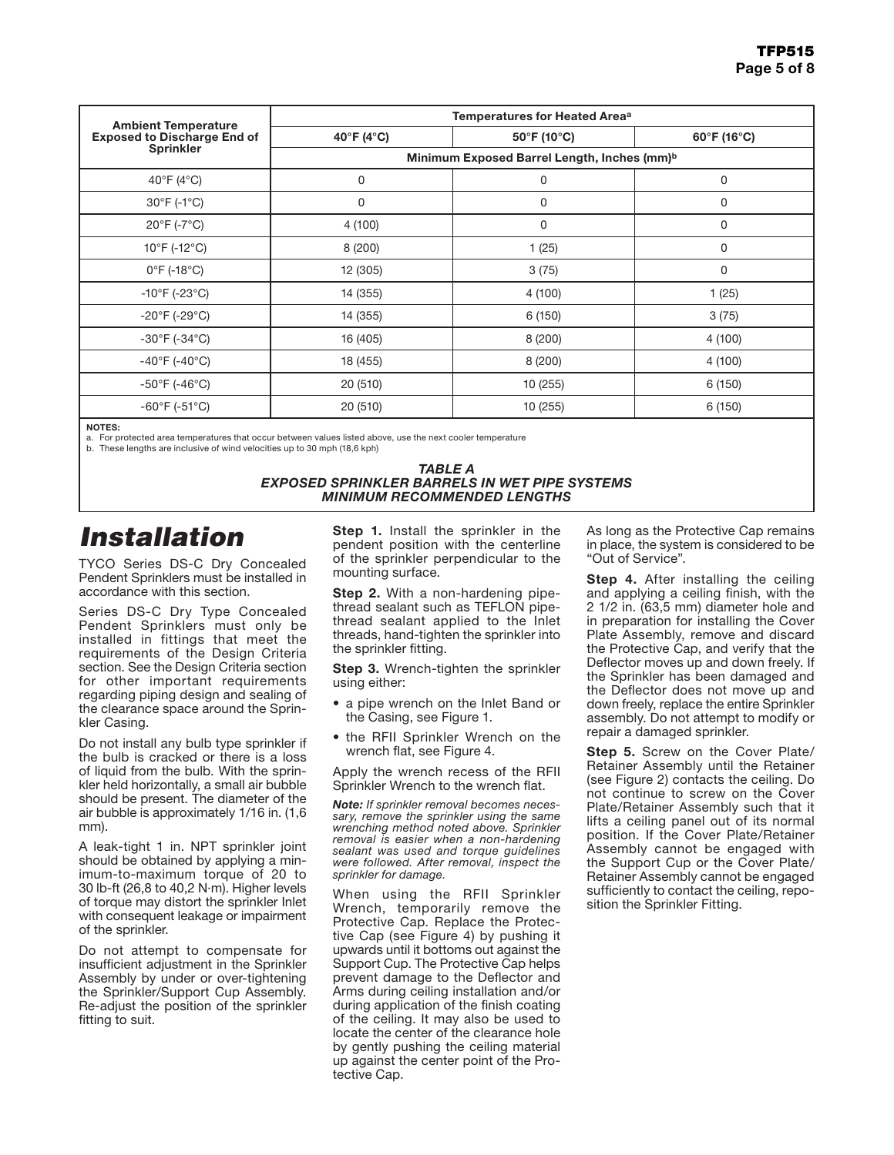|                                                                  | Temperatures for Heated Area <sup>a</sup>               |                                  |             |  |
|------------------------------------------------------------------|---------------------------------------------------------|----------------------------------|-------------|--|
| <b>Ambient Temperature</b><br><b>Exposed to Discharge End of</b> | 40°F (4°C)                                              | $50^{\circ}$ F (10 $^{\circ}$ C) | 60°F (16°C) |  |
| <b>Sprinkler</b>                                                 | Minimum Exposed Barrel Length, Inches (mm) <sup>b</sup> |                                  |             |  |
| 40°F (4°C)                                                       | 0                                                       | 0                                | 0           |  |
| $30^{\circ}$ F (-1 $^{\circ}$ C)                                 | 0                                                       | 0                                | 0           |  |
| $20^{\circ}$ F (-7 $^{\circ}$ C)                                 | 4 (100)                                                 | $\Omega$                         | 0           |  |
| $10^{\circ}$ F (-12 $^{\circ}$ C)                                | 8(200)                                                  | 1(25)                            | 0           |  |
| $0^{\circ}$ F (-18 $^{\circ}$ C)                                 | 12 (305)                                                | 3(75)                            | 0           |  |
| $-10^{\circ}$ F (-23 $^{\circ}$ C)                               | 14 (355)                                                | 4 (100)                          | 1(25)       |  |
| $-20^{\circ}$ F (-29 $^{\circ}$ C)                               | 14 (355)                                                | 6(150)                           | 3(75)       |  |
| $-30^{\circ}$ F (-34 $^{\circ}$ C)                               | 16 (405)                                                | 8(200)                           | 4 (100)     |  |
| $-40^{\circ}$ F (-40 $^{\circ}$ C)                               | 18 (455)                                                | 8(200)                           | 4 (100)     |  |
| $-50^{\circ}$ F (-46°C)                                          | 20 (510)                                                | 10 (255)                         | 6 (150)     |  |
| $-60^{\circ}$ F (-51 $^{\circ}$ C)                               | 20 (510)                                                | 10 (255)                         | 6 (150)     |  |

NOTES:

a. For protected area temperatures that occur between values listed above, use the next cooler temperature

b. These lengths are inclusive of wind velocities up to 30 mph (18,6 kph)

#### *TABLE A EXPOSED SPRINKLER BARRELS IN WET PIPE SYSTEMS MINIMUM RECOMMENDED LENGTHS*

# *Installation*

TYCO Series DS-C Dry Concealed Pendent Sprinklers must be installed in accordance with this section.

Series DS-C Dry Type Concealed Pendent Sprinklers must only be installed in fittings that meet the requirements of the Design Criteria section. See the Design Criteria section for other important requirements regarding piping design and sealing of the clearance space around the Sprinkler Casing.

Do not install any bulb type sprinkler if the bulb is cracked or there is a loss of liquid from the bulb. With the sprinkler held horizontally, a small air bubble should be present. The diameter of the air bubble is approximately 1/16 in. (1,6 mm).

A leak-tight 1 in. NPT sprinkler joint should be obtained by applying a minimum-to-maximum torque of 20 to 30 lb-ft (26,8 to 40,2 N·m). Higher levels of torque may distort the sprinkler Inlet with consequent leakage or impairment of the sprinkler.

Do not attempt to compensate for insufficient adjustment in the Sprinkler Assembly by under or over-tightening the Sprinkler/Support Cup Assembly. Re-adjust the position of the sprinkler fitting to suit.

**Step 1.** Install the sprinkler in the pendent position with the centerline of the sprinkler perpendicular to the mounting surface.

**Step 2.** With a non-hardening pipethread sealant such as TEFLON pipethread sealant applied to the Inlet threads, hand-tighten the sprinkler into the sprinkler fitting.

**Step 3.** Wrench-tighten the sprinkler using either:

- a pipe wrench on the Inlet Band or the Casing, see Figure 1.
- the RFII Sprinkler Wrench on the wrench flat, see Figure 4.

Apply the wrench recess of the RFII Sprinkler Wrench to the wrench flat.

*Note: If sprinkler removal becomes necessary, remove the sprinkler using the same wrenching method noted above. Sprinkler removal is easier when a non-hardening sealant was used and torque guidelines were followed. After removal, inspect the sprinkler for damage.*

When using the RFII Sprinkler Wrench, temporarily remove the Protective Cap. Replace the Protective Cap (see Figure 4) by pushing it upwards until it bottoms out against the Support Cup. The Protective Cap helps prevent damage to the Deflector and Arms during ceiling installation and/or during application of the finish coating of the ceiling. It may also be used to locate the center of the clearance hole by gently pushing the ceiling material up against the center point of the Protective Cap.

As long as the Protective Cap remains in place, the system is considered to be "Out of Service".

**Step 4.** After installing the ceiling and applying a ceiling finish, with the 2 1/2 in. (63,5 mm) diameter hole and in preparation for installing the Cover Plate Assembly, remove and discard the Protective Cap, and verify that the Deflector moves up and down freely. If the Sprinkler has been damaged and the Deflector does not move up and down freely, replace the entire Sprinkler assembly. Do not attempt to modify or repair a damaged sprinkler.

**Step 5.** Screw on the Cover Plate/ Retainer Assembly until the Retainer (see Figure 2) contacts the ceiling. Do not continue to screw on the Cover Plate/Retainer Assembly such that it lifts a ceiling panel out of its normal position. If the Cover Plate/Retainer Assembly cannot be engaged with the Support Cup or the Cover Plate/ Retainer Assembly cannot be engaged sufficiently to contact the ceiling, reposition the Sprinkler Fitting.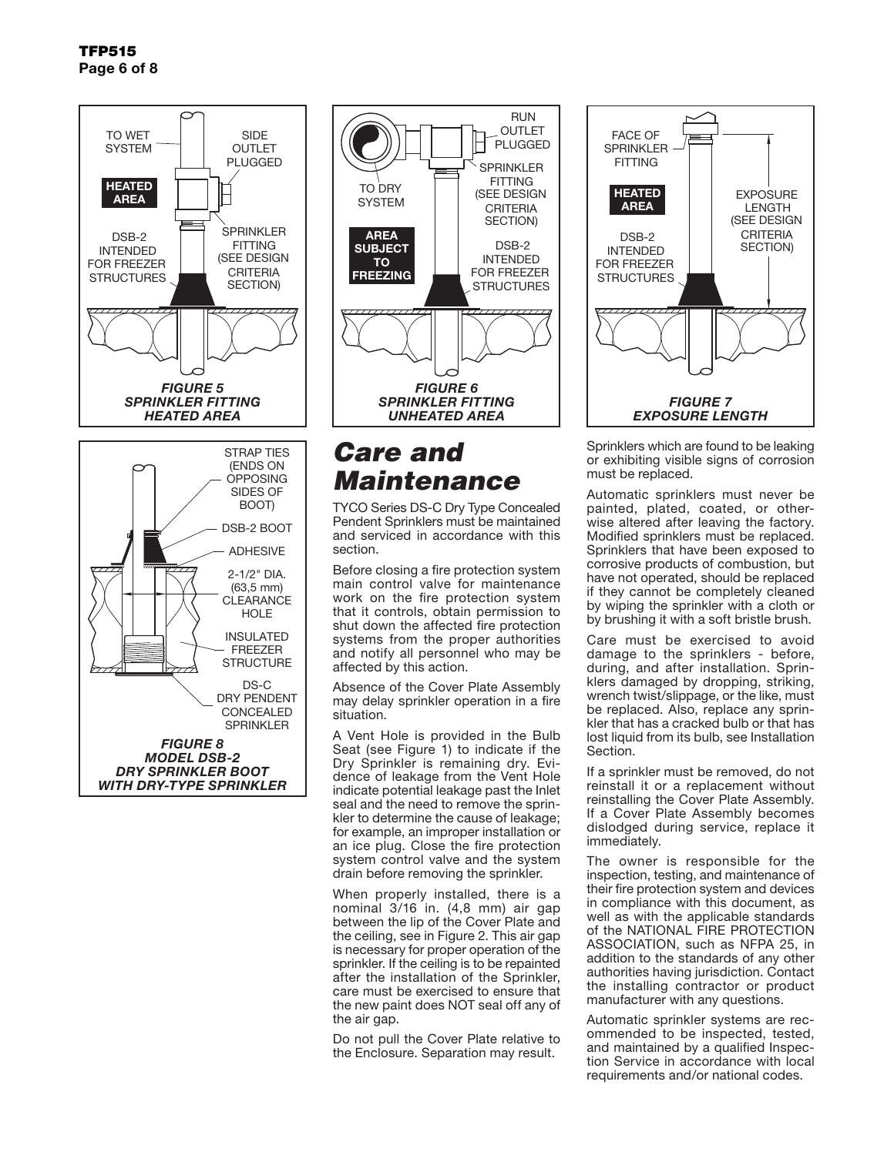

*FIGURE 8 MODEL DSB-2 DRY SPRINKLER BOOT WITH DRY-TYPE SPRINKLER*



# *Care and Maintenance*

TYCO Series DS-C Dry Type Concealed Pendent Sprinklers must be maintained and serviced in accordance with this section.

Before closing a fire protection system main control valve for maintenance work on the fire protection system that it controls, obtain permission to shut down the affected fire protection systems from the proper authorities and notify all personnel who may be affected by this action.

Absence of the Cover Plate Assembly may delay sprinkler operation in a fire situation.

A Vent Hole is provided in the Bulb Seat (see Figure 1) to indicate if the Dry Sprinkler is remaining dry. Evidence of leakage from the Vent Hole indicate potential leakage past the Inlet seal and the need to remove the sprinkler to determine the cause of leakage; for example, an improper installation or an ice plug. Close the fire protection system control valve and the system drain before removing the sprinkler.

When properly installed, there is a nominal 3/16 in. (4,8 mm) air gap between the lip of the Cover Plate and the ceiling, see in Figure 2. This air gap is necessary for proper operation of the sprinkler. If the ceiling is to be repainted after the installation of the Sprinkler, care must be exercised to ensure that the new paint does NOT seal off any of the air gap.

Do not pull the Cover Plate relative to the Enclosure. Separation may result.



Sprinklers which are found to be leaking or exhibiting visible signs of corrosion must be replaced.

Automatic sprinklers must never be painted, plated, coated, or otherwise altered after leaving the factory. Modified sprinklers must be replaced. Sprinklers that have been exposed to corrosive products of combustion, but have not operated, should be replaced if they cannot be completely cleaned by wiping the sprinkler with a cloth or by brushing it with a soft bristle brush.

Care must be exercised to avoid damage to the sprinklers - before, during, and after installation. Sprinklers damaged by dropping, striking, wrench twist/slippage, or the like, must be replaced. Also, replace any sprinkler that has a cracked bulb or that has lost liquid from its bulb, see Installation Section.

If a sprinkler must be removed, do not reinstall it or a replacement without reinstalling the Cover Plate Assembly. If a Cover Plate Assembly becomes dislodged during service, replace it immediately.

The owner is responsible for the inspection, testing, and maintenance of their fire protection system and devices in compliance with this document, as well as with the applicable standards of the NATIONAL FIRE PROTECTION ASSOCIATION, such as NFPA 25, in addition to the standards of any other authorities having jurisdiction. Contact the installing contractor or product manufacturer with any questions.

Automatic sprinkler systems are recommended to be inspected, tested, and maintained by a qualified Inspection Service in accordance with local requirements and/or national codes.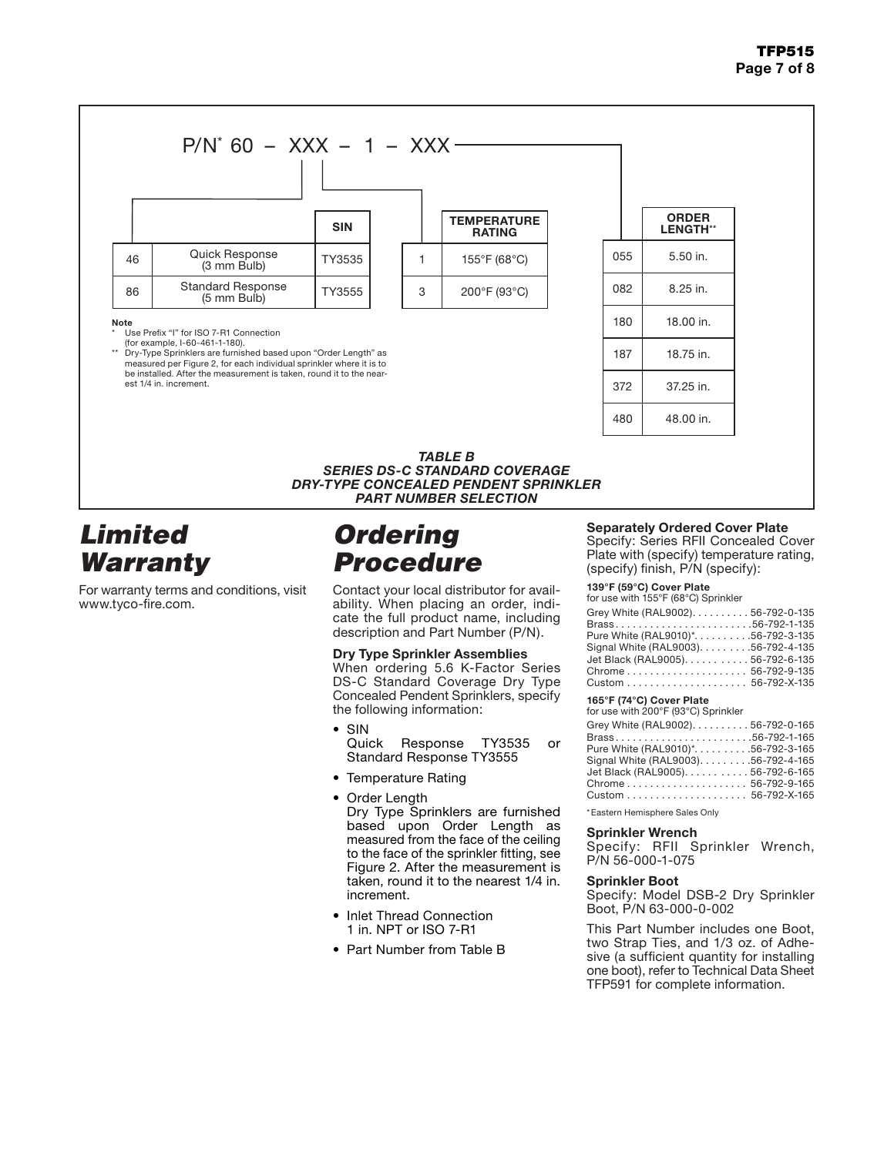### TFP515 Page 7 of 8



### *Limited Warranty*

For warranty terms and conditions, visit www.tyco-fire.com.

### *Ordering Procedure*

Contact your local distributor for availability. When placing an order, indicate the full product name, including description and Part Number (P/N).

#### Dry Type Sprinkler Assemblies

When ordering 5.6 K-Factor Series DS-C Standard Coverage Dry Type Concealed Pendent Sprinklers, specify the following information:

- SIN Quick Response TY3535 or Standard Response TY3555
- Temperature Rating
- Order Length Dry Type Sprinklers are furnished based upon Order Length as measured from the face of the ceiling to the face of the sprinkler fitting, see Figure 2. After the measurement is taken, round it to the nearest 1/4 in. increment.
- Inlet Thread Connection 1 in. NPT or ISO 7-R1
- Part Number from Table B

#### Separately Ordered Cover Plate

Specify: Series RFII Concealed Cover Plate with (specify) temperature rating, (specify) finish, P/N (specify):

#### 139°F (59°C) Cover Plate

for use with 155°F (68°C) Sprinkler

| Grey White (RAL9002). 56-792-0-135   |  |
|--------------------------------------|--|
| Brass56-792-1-135                    |  |
| Pure White (RAL9010)*. 56-792-3-135  |  |
| Signal White (RAL9003). 56-792-4-135 |  |
| Jet Black (RAL9005). 56-792-6-135    |  |
| Chrome 56-792-9-135                  |  |
|                                      |  |
|                                      |  |

#### 165°F (74°C) Cover Plate

| for use with 200°F (93°C) Sprinkler  |  |
|--------------------------------------|--|
| Grey White (RAL9002). 56-792-0-165   |  |
| Brass56-792-1-165                    |  |
| Pure White (RAL9010)*. 56-792-3-165  |  |
| Signal White (RAL9003). 56-792-4-165 |  |
| Jet Black (RAL9005). 56-792-6-165    |  |
| Chrome56-792-9-165                   |  |
|                                      |  |
|                                      |  |

\*Eastern Hemisphere Sales Only

#### Sprinkler Wrench

Specify: RFII Sprinkler Wrench, P/N 56-000-1-075

#### Sprinkler Boot

Specify: Model DSB-2 Dry Sprinkler Boot, P/N 63-000-0-002

This Part Number includes one Boot, two Strap Ties, and 1/3 oz. of Adhesive (a sufficient quantity for installing one boot), refer to Technical Data Sheet TFP591 for complete information.